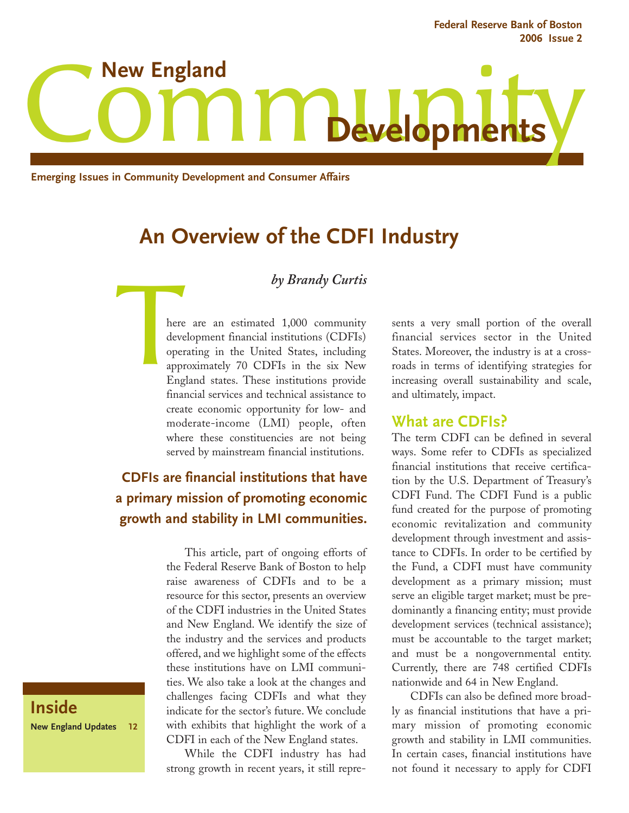**Federal Reserve Bank of Boston 2006 Issue 2** 



**Emerging Issues in Community Development and Consumer Affairs**

# **An Overview of the CDFI Industry**

#### *by Brandy Curtis*

here<br>developed<br>app:<br>Eng here are an estimated 1,000 community development financial institutions (CDFIs) operating in the United States, including approximately 70 CDFIs in the six New England states. These institutions provide financial services and technical assistance to create economic opportunity for low- and moderate-income (LMI) people, often where these constituencies are not being served by mainstream financial institutions.

## **CDFIs are financial institutions that have a primary mission of promoting economic growth and stability in LMI communities.**

This article, part of ongoing efforts of the Federal Reserve Bank of Boston to help raise awareness of CDFIs and to be a resource for this sector, presents an overview of the CDFI industries in the United States and New England. We identify the size of the industry and the services and products offered, and we highlight some of the effects these institutions have on LMI communities. We also take a look at the changes and challenges facing CDFIs and what they indicate for the sector's future. We conclude with exhibits that highlight the work of a CDFI in each of the New England states.

While the CDFI industry has had strong growth in recent years, it still represents a very small portion of the overall financial services sector in the United States. Moreover, the industry is at a crossroads in terms of identifying strategies for increasing overall sustainability and scale, and ultimately, impact.

#### **What are CDFIs?**

The term CDFI can be defined in several ways. Some refer to CDFIs as specialized financial institutions that receive certification by the U.S. Department of Treasury's CDFI Fund. The CDFI Fund is a public fund created for the purpose of promoting economic revitalization and community development through investment and assistance to CDFIs. In order to be certified by the Fund, a CDFI must have community development as a primary mission; must serve an eligible target market; must be predominantly a financing entity; must provide development services (technical assistance); must be accountable to the target market; and must be a nongovernmental entity. Currently, there are 748 certified CDFIs nationwide and 64 in New England.

CDFIs can also be defined more broadly as financial institutions that have a primary mission of promoting economic growth and stability in LMI communities. In certain cases, financial institutions have not found it necessary to apply for CDFI

**Inside New England Updates 12**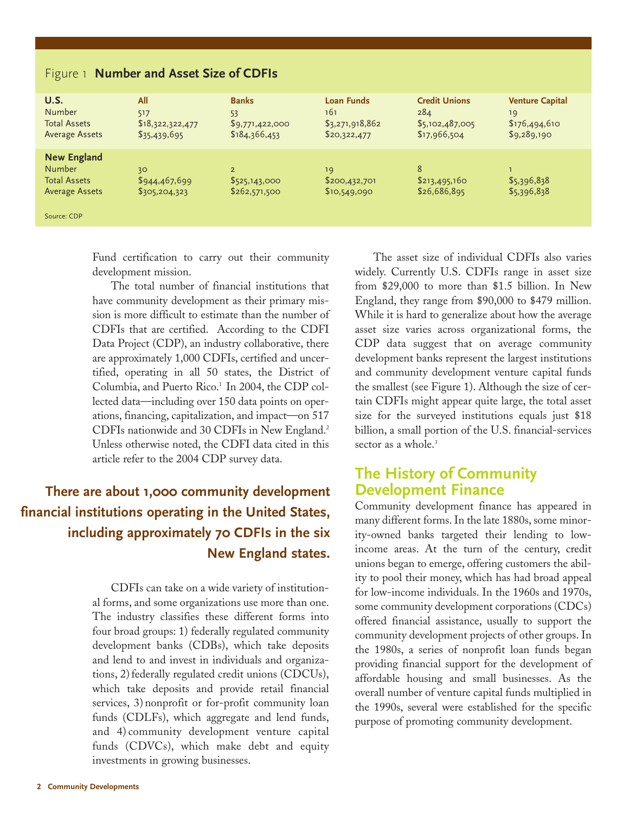| U.S.<br><b>Number</b><br><b>Total Assets</b><br><b>Average Assets</b>               | All<br>517<br>\$18,322,322,477<br>\$35,439,695 | <b>Banks</b><br>53<br>\$9,771,422,000<br>\$184,366,453 | <b>Loan Funds</b><br>161<br>\$3,271,918,862<br>\$20,322,477 | <b>Credit Unions</b><br>284<br>\$5,102,487,005<br>\$17,966,504 | <b>Venture Capital</b><br>19<br>\$176,494,610<br>\$9,289,190 |
|-------------------------------------------------------------------------------------|------------------------------------------------|--------------------------------------------------------|-------------------------------------------------------------|----------------------------------------------------------------|--------------------------------------------------------------|
| <b>New England</b><br><b>Number</b><br><b>Total Assets</b><br><b>Average Assets</b> | 30<br>\$944,467,699<br>\$305,204,323           | 2 <sup>1</sup><br>\$525,143,000<br>\$262,571,500       | 19<br>\$200,432,701<br>\$10,549,090                         | 8<br>\$213,495,160<br>\$26,686,895                             | \$5,396,838<br>\$5,396,838                                   |
| Source: CDP                                                                         |                                                |                                                        |                                                             |                                                                |                                                              |

#### Figure 1 **Number and Asset Size of CDFIs**

Fund certification to carry out their community development mission.

The total number of financial institutions that have community development as their primary mission is more difficult to estimate than the number of CDFIs that are certified. According to the CDFI Data Project (CDP), an industry collaborative, there are approximately 1,000 CDFIs, certified and uncertified, operating in all 50 states, the District of Columbia, and Puerto Rico.<sup>1</sup> In 2004, the CDP collected data—including over 150 data points on operations, financing, capitalization, and impact—on 517 CDFIs nationwide and 30 CDFIs in New England.2 Unless otherwise noted, the CDFI data cited in this article refer to the 2004 CDP survey data.

## **There are about 1,000 community development financial institutions operating in the United States, including approximately 70 CDFIs in the six New England states.**

CDFIs can take on a wide variety of institutional forms, and some organizations use more than one. The industry classifies these different forms into four broad groups: 1) federally regulated community development banks (CDBs), which take deposits and lend to and invest in individuals and organizations, 2) federally regulated credit unions (CDCUs), which take deposits and provide retail financial services, 3) nonprofit or for-profit community loan funds (CDLFs), which aggregate and lend funds, and 4) community development venture capital funds (CDVCs), which make debt and equity investments in growing businesses.

The asset size of individual CDFIs also varies widely. Currently U.S. CDFIs range in asset size from \$29,000 to more than \$1.5 billion. In New England, they range from \$90,000 to \$479 million. While it is hard to generalize about how the average asset size varies across organizational forms, the CDP data suggest that on average community development banks represent the largest institutions and community development venture capital funds the smallest (see Figure 1). Although the size of certain CDFIs might appear quite large, the total asset size for the surveyed institutions equals just \$18 billion, a small portion of the U.S. financial-services sector as a whole.<sup>3</sup>

## **The History of Community Development Finance**

Community development finance has appeared in many different forms. In the late 1880s, some minority-owned banks targeted their lending to lowincome areas. At the turn of the century, credit unions began to emerge, offering customers the ability to pool their money, which has had broad appeal for low-income individuals. In the 1960s and 1970s, some community development corporations (CDCs) offered financial assistance, usually to support the community development projects of other groups. In the 1980s, a series of nonprofit loan funds began providing financial support for the development of affordable housing and small businesses. As the overall number of venture capital funds multiplied in the 1990s, several were established for the specific purpose of promoting community development.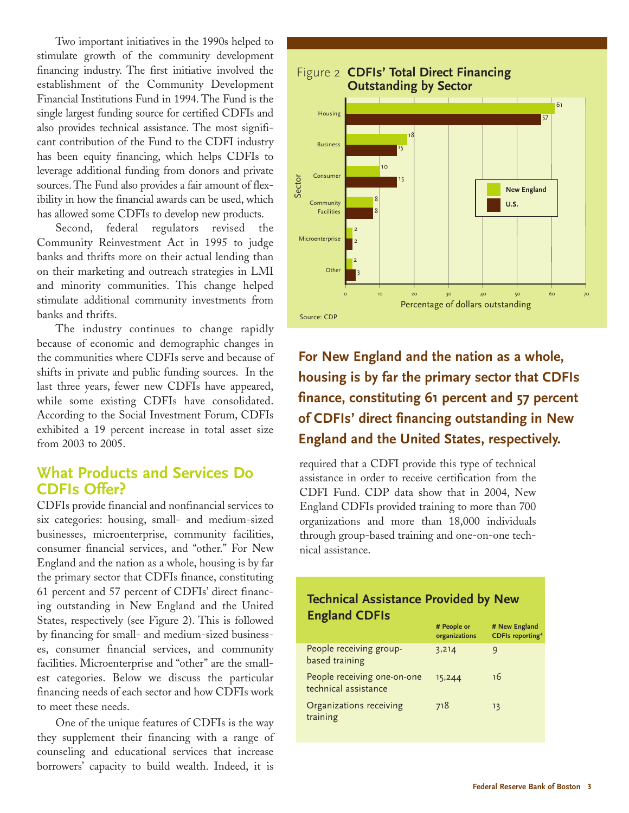Two important initiatives in the 1990s helped to stimulate growth of the community development financing industry. The first initiative involved the establishment of the Community Development Financial Institutions Fund in 1994. The Fund is the single largest funding source for certified CDFIs and also provides technical assistance. The most significant contribution of the Fund to the CDFI industry has been equity financing, which helps CDFIs to leverage additional funding from donors and private sources. The Fund also provides a fair amount of flexibility in how the financial awards can be used, which has allowed some CDFIs to develop new products.

Second, federal regulators revised the Community Reinvestment Act in 1995 to judge banks and thrifts more on their actual lending than on their marketing and outreach strategies in LMI and minority communities. This change helped stimulate additional community investments from banks and thrifts.

The industry continues to change rapidly because of economic and demographic changes in the communities where CDFIs serve and because of shifts in private and public funding sources. In the last three years, fewer new CDFIs have appeared, while some existing CDFIs have consolidated. According to the Social Investment Forum, CDFIs exhibited a 19 percent increase in total asset size from 2003 to 2005.

## **What Products and Services Do CDFIs Offer?**

CDFIs provide financial and nonfinancial services to six categories: housing, small- and medium-sized businesses, microenterprise, community facilities, consumer financial services, and "other." For New England and the nation as a whole, housing is by far the primary sector that CDFIs finance, constituting 61 percent and 57 percent of CDFIs' direct financing outstanding in New England and the United States, respectively (see Figure 2). This is followed by financing for small- and medium-sized businesses, consumer financial services, and community facilities. Microenterprise and "other" are the smallest categories. Below we discuss the particular financing needs of each sector and how CDFIs work to meet these needs.

One of the unique features of CDFIs is the way they supplement their financing with a range of counseling and educational services that increase borrowers' capacity to build wealth. Indeed, it is



**For New England and the nation as a whole, housing is by far the primary sector that CDFIs finance, constituting 61 percent and 57 percent of CDFIs' direct financing outstanding in New England and the United States, respectively.**

required that a CDFI provide this type of technical assistance in order to receive certification from the CDFI Fund. CDP data show that in 2004, New England CDFIs provided training to more than 700 organizations and more than 18,000 individuals through group-based training and one-on-one technical assistance.

#### **Technical Assistance Provided by New England CDFIs**

| # People or<br>organizations | # New England<br><b>CDFIs reporting<sup>4</sup></b> |
|------------------------------|-----------------------------------------------------|
| 3,214                        | g                                                   |
| 15,244                       | 16                                                  |
| 718                          | 13                                                  |
|                              |                                                     |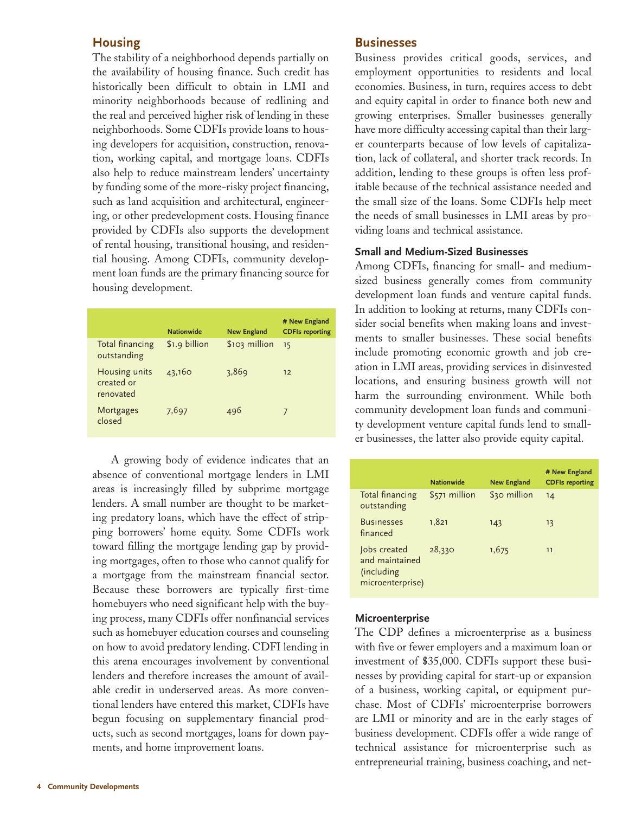#### **Housing**

The stability of a neighborhood depends partially on the availability of housing finance. Such credit has historically been difficult to obtain in LMI and minority neighborhoods because of redlining and the real and perceived higher risk of lending in these neighborhoods. Some CDFIs provide loans to housing developers for acquisition, construction, renovation, working capital, and mortgage loans. CDFIs also help to reduce mainstream lenders' uncertainty by funding some of the more-risky project financing, such as land acquisition and architectural, engineering, or other predevelopment costs. Housing finance provided by CDFIs also supports the development of rental housing, transitional housing, and residential housing. Among CDFIs, community development loan funds are the primary financing source for housing development.

|                                          | <b>Nationwide</b> | <b>New England</b> | # New England<br><b>CDFIs reporting</b> |
|------------------------------------------|-------------------|--------------------|-----------------------------------------|
| Total financing<br>outstanding           | \$1.9 billion     | \$103 million      | 15                                      |
| Housing units<br>created or<br>renovated | 43,160            | 3,869              | 12                                      |
| Mortgages<br>closed                      | 7,697             | 496                |                                         |

A growing body of evidence indicates that an absence of conventional mortgage lenders in LMI areas is increasingly filled by subprime mortgage lenders. A small number are thought to be marketing predatory loans, which have the effect of stripping borrowers' home equity. Some CDFIs work toward filling the mortgage lending gap by providing mortgages, often to those who cannot qualify for a mortgage from the mainstream financial sector. Because these borrowers are typically first-time homebuyers who need significant help with the buying process, many CDFIs offer nonfinancial services such as homebuyer education courses and counseling on how to avoid predatory lending. CDFI lending in this arena encourages involvement by conventional lenders and therefore increases the amount of available credit in underserved areas. As more conventional lenders have entered this market, CDFIs have begun focusing on supplementary financial products, such as second mortgages, loans for down payments, and home improvement loans.

#### **Businesses**

Business provides critical goods, services, and employment opportunities to residents and local economies. Business, in turn, requires access to debt and equity capital in order to finance both new and growing enterprises. Smaller businesses generally have more difficulty accessing capital than their larger counterparts because of low levels of capitalization, lack of collateral, and shorter track records. In addition, lending to these groups is often less profitable because of the technical assistance needed and the small size of the loans. Some CDFIs help meet the needs of small businesses in LMI areas by providing loans and technical assistance.

#### **Small and Medium-Sized Businesses**

Among CDFIs, financing for small- and mediumsized business generally comes from community development loan funds and venture capital funds. In addition to looking at returns, many CDFIs consider social benefits when making loans and investments to smaller businesses. These social benefits include promoting economic growth and job creation in LMI areas, providing services in disinvested locations, and ensuring business growth will not harm the surrounding environment. While both community development loan funds and community development venture capital funds lend to smaller businesses, the latter also provide equity capital.

|                                                                   | <b>Nationwide</b> | <b>New England</b> | # New England<br><b>CDFIs reporting</b> |
|-------------------------------------------------------------------|-------------------|--------------------|-----------------------------------------|
| Total financing<br>outstanding                                    | \$571 million     | \$30 million       | 14                                      |
| <b>Businesses</b><br>financed                                     | 1,821             | 143                | 13                                      |
| Jobs created<br>and maintained<br>(including)<br>microenterprise) | 28,330            | 1,675              | 11                                      |

#### **Microenterprise**

The CDP defines a microenterprise as a business with five or fewer employers and a maximum loan or investment of \$35,000. CDFIs support these businesses by providing capital for start-up or expansion of a business, working capital, or equipment purchase. Most of CDFIs' microenterprise borrowers are LMI or minority and are in the early stages of business development. CDFIs offer a wide range of technical assistance for microenterprise such as entrepreneurial training, business coaching, and net-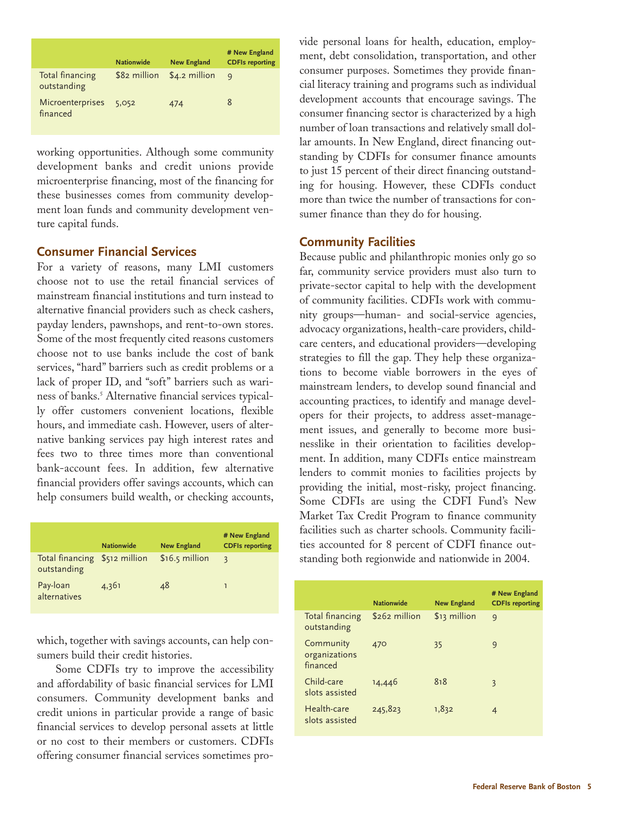|                                | <b>Nationwide</b> | <b>New England</b> | # New England<br><b>CDFIs reporting</b> |
|--------------------------------|-------------------|--------------------|-----------------------------------------|
| Total financing<br>outstanding | \$82 million      | $$4.2$ million     | $\mathsf{Q}$                            |
| Microenterprises<br>financed   | 5,052             | 474                | 8                                       |

working opportunities. Although some community development banks and credit unions provide microenterprise financing, most of the financing for these businesses comes from community development loan funds and community development venture capital funds.

#### **Consumer Financial Services**

For a variety of reasons, many LMI customers choose not to use the retail financial services of mainstream financial institutions and turn instead to alternative financial providers such as check cashers, payday lenders, pawnshops, and rent-to-own stores. Some of the most frequently cited reasons customers choose not to use banks include the cost of bank services, "hard" barriers such as credit problems or a lack of proper ID, and "soft" barriers such as wariness of banks.5 Alternative financial services typically offer customers convenient locations, flexible hours, and immediate cash. However, users of alternative banking services pay high interest rates and fees two to three times more than conventional bank-account fees. In addition, few alternative financial providers offer savings accounts, which can help consumers build wealth, or checking accounts,

|                                              | <b>Nationwide</b> | <b>New England</b> | # New England<br><b>CDFIs reporting</b> |
|----------------------------------------------|-------------------|--------------------|-----------------------------------------|
| Total financing \$512 million<br>outstanding |                   | $$16.5$ million    | $\mathbf{z}$                            |
| Pay-loan<br>alternatives                     | 4,361             | 48                 | ٦                                       |

Some CDFIs try to improve the accessibility and affordability of basic financial services for LMI consumers. Community development banks and credit unions in particular provide a range of basic financial services to develop personal assets at little or no cost to their members or customers. CDFIs offering consumer financial services sometimes provide personal loans for health, education, employment, debt consolidation, transportation, and other consumer purposes. Sometimes they provide financial literacy training and programs such as individual development accounts that encourage savings. The consumer financing sector is characterized by a high number of loan transactions and relatively small dollar amounts. In New England, direct financing outstanding by CDFIs for consumer finance amounts to just 15 percent of their direct financing outstanding for housing. However, these CDFIs conduct more than twice the number of transactions for consumer finance than they do for housing.

#### **Community Facilities**

Because public and philanthropic monies only go so far, community service providers must also turn to private-sector capital to help with the development of community facilities. CDFIs work with community groups—human- and social-service agencies, advocacy organizations, health-care providers, childcare centers, and educational providers—developing strategies to fill the gap. They help these organizations to become viable borrowers in the eyes of mainstream lenders, to develop sound financial and accounting practices, to identify and manage developers for their projects, to address asset-management issues, and generally to become more businesslike in their orientation to facilities development. In addition, many CDFIs entice mainstream lenders to commit monies to facilities projects by providing the initial, most-risky, project financing. Some CDFIs are using the CDFI Fund's New Market Tax Credit Program to finance community facilities such as charter schools. Community facilities accounted for 8 percent of CDFI finance outstanding both regionwide and nationwide in 2004.

| Pay-loan<br>48<br>4,361<br>alternatives                                                                                                     |                                        | <b>Nationwide</b> | <b>New England</b> | # New England<br><b>CDFIs reporting</b> |
|---------------------------------------------------------------------------------------------------------------------------------------------|----------------------------------------|-------------------|--------------------|-----------------------------------------|
|                                                                                                                                             | Total financing<br>outstanding         | $$262$ million    | \$13 million       | $\mathsf{q}$                            |
| which, together with savings accounts, can help con-<br>sumers build their credit histories.<br>Some CDFIs try to improve the accessibility | Community<br>organizations<br>financed | 470               | 35                 | 9                                       |
| and affordability of basic financial services for LMI<br>consumers. Community development banks and                                         | Child-care<br>slots assisted           | 14,446            | 818                | 3                                       |
| credit unions in particular provide a range of basic<br>financial services to develop personal assets at little                             | Health-care<br>slots assisted          | 245,823           | 1,832              | $\overline{4}$                          |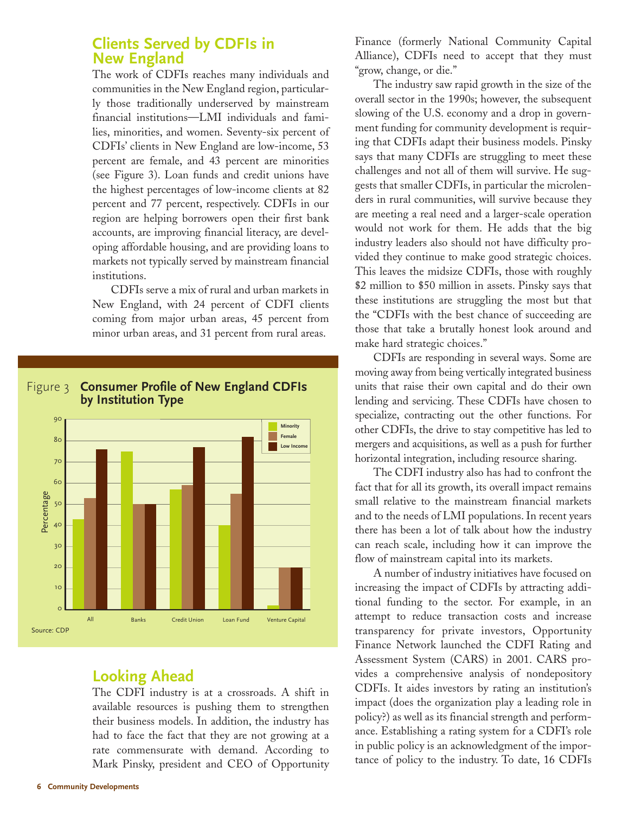## **Clients Served by CDFIs in New England**

The work of CDFIs reaches many individuals and communities in the New England region, particularly those traditionally underserved by mainstream financial institutions—LMI individuals and families, minorities, and women. Seventy-six percent of CDFIs' clients in New England are low-income, 53 percent are female, and 43 percent are minorities (see Figure 3). Loan funds and credit unions have the highest percentages of low-income clients at 82 percent and 77 percent, respectively. CDFIs in our region are helping borrowers open their first bank accounts, are improving financial literacy, are developing affordable housing, and are providing loans to markets not typically served by mainstream financial institutions.

CDFIs serve a mix of rural and urban markets in New England, with 24 percent of CDFI clients coming from major urban areas, 45 percent from minor urban areas, and 31 percent from rural areas.

## Figure 3 **Consumer Profile of New England CDFIs by Institution Type**



## **Looking Ahead**

The CDFI industry is at a crossroads. A shift in available resources is pushing them to strengthen their business models. In addition, the industry has had to face the fact that they are not growing at a rate commensurate with demand. According to Mark Pinsky, president and CEO of Opportunity Finance (formerly National Community Capital Alliance), CDFIs need to accept that they must "grow, change, or die."

The industry saw rapid growth in the size of the overall sector in the 1990s; however, the subsequent slowing of the U.S. economy and a drop in government funding for community development is requiring that CDFIs adapt their business models. Pinsky says that many CDFIs are struggling to meet these challenges and not all of them will survive. He suggests that smaller CDFIs, in particular the microlenders in rural communities, will survive because they are meeting a real need and a larger-scale operation would not work for them. He adds that the big industry leaders also should not have difficulty provided they continue to make good strategic choices. This leaves the midsize CDFIs, those with roughly \$2 million to \$50 million in assets. Pinsky says that these institutions are struggling the most but that the "CDFIs with the best chance of succeeding are those that take a brutally honest look around and make hard strategic choices."

CDFIs are responding in several ways. Some are moving away from being vertically integrated business units that raise their own capital and do their own lending and servicing. These CDFIs have chosen to specialize, contracting out the other functions. For other CDFIs, the drive to stay competitive has led to mergers and acquisitions, as well as a push for further horizontal integration, including resource sharing.

The CDFI industry also has had to confront the fact that for all its growth, its overall impact remains small relative to the mainstream financial markets and to the needs of LMI populations. In recent years there has been a lot of talk about how the industry can reach scale, including how it can improve the flow of mainstream capital into its markets.

A number of industry initiatives have focused on increasing the impact of CDFIs by attracting additional funding to the sector. For example, in an attempt to reduce transaction costs and increase transparency for private investors, Opportunity Finance Network launched the CDFI Rating and Assessment System (CARS) in 2001. CARS provides a comprehensive analysis of nondepository CDFIs. It aides investors by rating an institution's impact (does the organization play a leading role in policy?) as well as its financial strength and performance. Establishing a rating system for a CDFI's role in public policy is an acknowledgment of the importance of policy to the industry. To date, 16 CDFIs